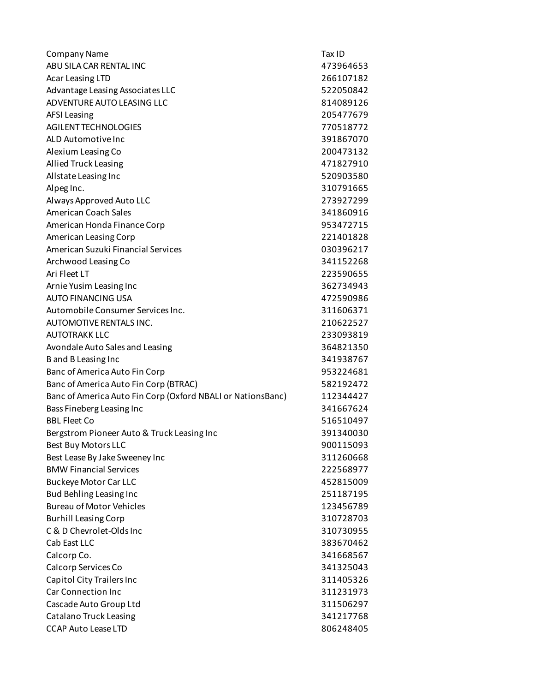| <b>Company Name</b>                                         | Tax ID    |
|-------------------------------------------------------------|-----------|
| ABU SILA CAR RENTAL INC                                     | 473964653 |
| Acar Leasing LTD                                            | 266107182 |
| Advantage Leasing Associates LLC                            | 522050842 |
| ADVENTURE AUTO LEASING LLC                                  | 814089126 |
| <b>AFSI Leasing</b>                                         | 205477679 |
| AGILENT TECHNOLOGIES                                        | 770518772 |
| ALD Automotive Inc                                          | 391867070 |
| Alexium Leasing Co                                          | 200473132 |
| <b>Allied Truck Leasing</b>                                 | 471827910 |
| Allstate Leasing Inc                                        | 520903580 |
| Alpeg Inc.                                                  | 310791665 |
| Always Approved Auto LLC                                    | 273927299 |
| American Coach Sales                                        | 341860916 |
| American Honda Finance Corp                                 | 953472715 |
| American Leasing Corp                                       | 221401828 |
| American Suzuki Financial Services                          | 030396217 |
| Archwood Leasing Co                                         | 341152268 |
| Ari Fleet LT                                                | 223590655 |
| Arnie Yusim Leasing Inc                                     | 362734943 |
| <b>AUTO FINANCING USA</b>                                   | 472590986 |
| Automobile Consumer Services Inc.                           | 311606371 |
| AUTOMOTIVE RENTALS INC.                                     | 210622527 |
| <b>AUTOTRAKK LLC</b>                                        | 233093819 |
| Avondale Auto Sales and Leasing                             | 364821350 |
| B and B Leasing Inc                                         | 341938767 |
| Banc of America Auto Fin Corp                               | 953224681 |
| Banc of America Auto Fin Corp (BTRAC)                       | 582192472 |
| Banc of America Auto Fin Corp (Oxford NBALI or NationsBanc) | 112344427 |
| Bass Fineberg Leasing Inc                                   | 341667624 |
| <b>BBL Fleet Co</b>                                         | 516510497 |
| Bergstrom Pioneer Auto & Truck Leasing Inc                  | 391340030 |
| <b>Best Buy Motors LLC</b>                                  | 900115093 |
| Best Lease By Jake Sweeney Inc                              | 311260668 |
| <b>BMW Financial Services</b>                               | 222568977 |
| <b>Buckeye Motor Car LLC</b>                                | 452815009 |
| Bud Behling Leasing Inc                                     | 251187195 |
| <b>Bureau of Motor Vehicles</b>                             | 123456789 |
| <b>Burhill Leasing Corp</b>                                 | 310728703 |
| C & D Chevrolet-Olds Inc                                    | 310730955 |
| Cab East LLC                                                | 383670462 |
| Calcorp Co.                                                 | 341668567 |
| Calcorp Services Co                                         | 341325043 |
| Capitol City Trailers Inc                                   | 311405326 |
| <b>Car Connection Inc</b>                                   | 311231973 |
| Cascade Auto Group Ltd                                      | 311506297 |
| <b>Catalano Truck Leasing</b>                               | 341217768 |
| <b>CCAP Auto Lease LTD</b>                                  | 806248405 |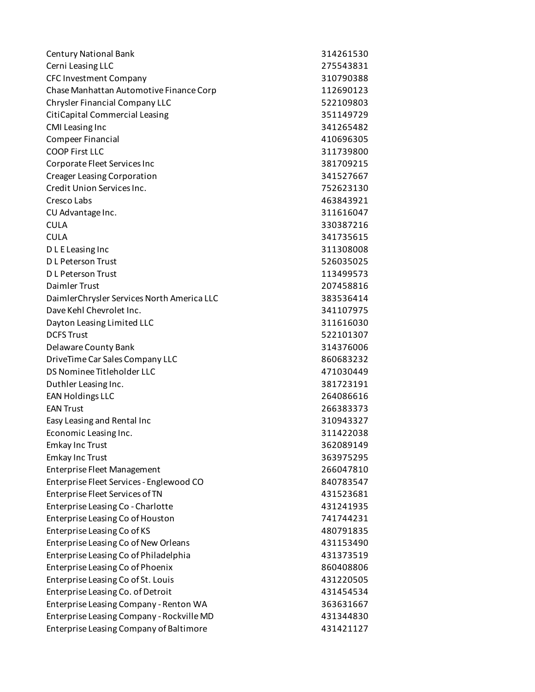| <b>Century National Bank</b>               | 314261530 |
|--------------------------------------------|-----------|
| Cerni Leasing LLC                          | 275543831 |
| <b>CFC Investment Company</b>              | 310790388 |
| Chase Manhattan Automotive Finance Corp    | 112690123 |
| Chrysler Financial Company LLC             | 522109803 |
| CitiCapital Commercial Leasing             | 351149729 |
| <b>CMI Leasing Inc</b>                     | 341265482 |
| <b>Compeer Financial</b>                   | 410696305 |
| <b>COOP First LLC</b>                      | 311739800 |
| Corporate Fleet Services Inc               | 381709215 |
| <b>Creager Leasing Corporation</b>         | 341527667 |
| Credit Union Services Inc.                 | 752623130 |
| Cresco Labs                                | 463843921 |
| CU Advantage Inc.                          | 311616047 |
| <b>CULA</b>                                | 330387216 |
| <b>CULA</b>                                | 341735615 |
| D L E Leasing Inc                          | 311308008 |
| D L Peterson Trust                         | 526035025 |
| <b>DL Peterson Trust</b>                   | 113499573 |
| Daimler Trust                              | 207458816 |
| DaimlerChrysler Services North America LLC | 383536414 |
| Dave Kehl Chevrolet Inc.                   | 341107975 |
| Dayton Leasing Limited LLC                 | 311616030 |
| <b>DCFS Trust</b>                          | 522101307 |
| Delaware County Bank                       | 314376006 |
| DriveTime Car Sales Company LLC            | 860683232 |
| DS Nominee Titleholder LLC                 | 471030449 |
| Duthler Leasing Inc.                       | 381723191 |
| <b>EAN Holdings LLC</b>                    | 264086616 |
| <b>EAN Trust</b>                           | 266383373 |
| Easy Leasing and Rental Inc                | 310943327 |
| Economic Leasing Inc.                      | 311422038 |
| <b>Emkay Inc Trust</b>                     | 362089149 |
| <b>Emkay Inc Trust</b>                     | 363975295 |
| <b>Enterprise Fleet Management</b>         | 266047810 |
| Enterprise Fleet Services - Englewood CO   | 840783547 |
| Enterprise Fleet Services of TN            | 431523681 |
| Enterprise Leasing Co - Charlotte          | 431241935 |
| Enterprise Leasing Co of Houston           | 741744231 |
| Enterprise Leasing Co of KS                | 480791835 |
| Enterprise Leasing Co of New Orleans       | 431153490 |
| Enterprise Leasing Co of Philadelphia      | 431373519 |
| Enterprise Leasing Co of Phoenix           | 860408806 |
| Enterprise Leasing Co of St. Louis         | 431220505 |
| Enterprise Leasing Co. of Detroit          | 431454534 |
| Enterprise Leasing Company - Renton WA     | 363631667 |
| Enterprise Leasing Company - Rockville MD  | 431344830 |
| Enterprise Leasing Company of Baltimore    | 431421127 |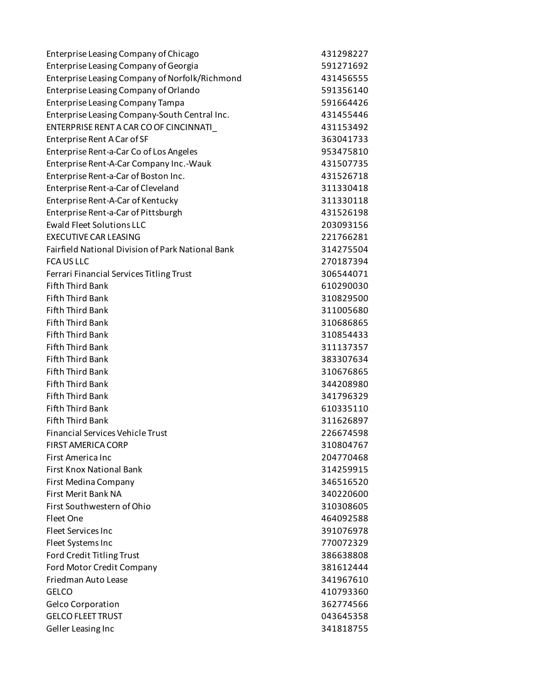| Enterprise Leasing Company of Chicago                    | 431298227 |
|----------------------------------------------------------|-----------|
| Enterprise Leasing Company of Georgia                    | 591271692 |
| Enterprise Leasing Company of Norfolk/Richmond           | 431456555 |
| Enterprise Leasing Company of Orlando                    | 591356140 |
| <b>Enterprise Leasing Company Tampa</b>                  | 591664426 |
| Enterprise Leasing Company-South Central Inc.            | 431455446 |
| ENTERPRISE RENT A CAR CO OF CINCINNATI                   | 431153492 |
| Enterprise Rent A Car of SF                              | 363041733 |
| Enterprise Rent-a-Car Co of Los Angeles                  | 953475810 |
| Enterprise Rent-A-Car Company Inc.-Wauk                  | 431507735 |
| Enterprise Rent-a-Car of Boston Inc.                     | 431526718 |
| Enterprise Rent-a-Car of Cleveland                       | 311330418 |
| Enterprise Rent-A-Car of Kentucky                        | 311330118 |
| Enterprise Rent-a-Car of Pittsburgh                      | 431526198 |
| <b>Ewald Fleet Solutions LLC</b>                         | 203093156 |
| <b>EXECUTIVE CAR LEASING</b>                             | 221766281 |
| <b>Fairfield National Division of Park National Bank</b> | 314275504 |
| <b>FCAUSLLC</b>                                          | 270187394 |
| Ferrari Financial Services Titling Trust                 | 306544071 |
| <b>Fifth Third Bank</b>                                  | 610290030 |
| <b>Fifth Third Bank</b>                                  | 310829500 |
| <b>Fifth Third Bank</b>                                  | 311005680 |
| <b>Fifth Third Bank</b>                                  | 310686865 |
| <b>Fifth Third Bank</b>                                  | 310854433 |
| <b>Fifth Third Bank</b>                                  | 311137357 |
| <b>Fifth Third Bank</b>                                  | 383307634 |
| <b>Fifth Third Bank</b>                                  | 310676865 |
| <b>Fifth Third Bank</b>                                  | 344208980 |
| <b>Fifth Third Bank</b>                                  | 341796329 |
| <b>Fifth Third Bank</b>                                  | 610335110 |
| <b>Fifth Third Bank</b>                                  | 311626897 |
| <b>Financial Services Vehicle Trust</b>                  | 226674598 |
| FIRST AMERICA CORP                                       | 310804767 |
| First America Inc                                        | 204770468 |
| <b>First Knox National Bank</b>                          | 314259915 |
| First Medina Company                                     | 346516520 |
| First Merit Bank NA                                      | 340220600 |
| First Southwestern of Ohio                               | 310308605 |
| Fleet One                                                | 464092588 |
| <b>Fleet Services Inc</b>                                | 391076978 |
| Fleet Systems Inc                                        | 770072329 |
| Ford Credit Titling Trust                                | 386638808 |
| Ford Motor Credit Company                                | 381612444 |
| Friedman Auto Lease                                      | 341967610 |
| <b>GELCO</b>                                             | 410793360 |
| <b>Gelco Corporation</b>                                 | 362774566 |
| <b>GELCO FLEET TRUST</b>                                 | 043645358 |
| Geller Leasing Inc                                       | 341818755 |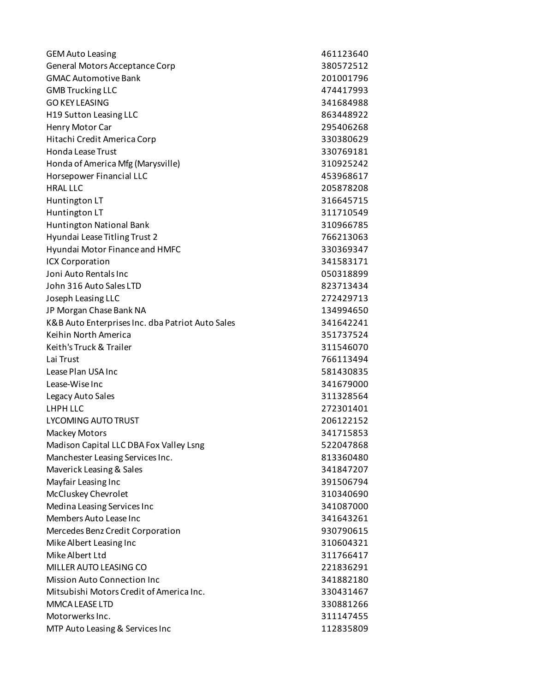| <b>GEM Auto Leasing</b>                          | 461123640 |
|--------------------------------------------------|-----------|
| General Motors Acceptance Corp                   | 380572512 |
| <b>GMAC Automotive Bank</b>                      | 201001796 |
| <b>GMB Trucking LLC</b>                          | 474417993 |
| <b>GO KEY LEASING</b>                            | 341684988 |
| H19 Sutton Leasing LLC                           | 863448922 |
| Henry Motor Car                                  | 295406268 |
| Hitachi Credit America Corp                      | 330380629 |
| <b>Honda Lease Trust</b>                         | 330769181 |
| Honda of America Mfg (Marysville)                | 310925242 |
| Horsepower Financial LLC                         | 453968617 |
| <b>HRAL LLC</b>                                  | 205878208 |
| Huntington LT                                    | 316645715 |
| Huntington LT                                    | 311710549 |
| Huntington National Bank                         | 310966785 |
| Hyundai Lease Titling Trust 2                    | 766213063 |
| Hyundai Motor Finance and HMFC                   | 330369347 |
| <b>ICX Corporation</b>                           | 341583171 |
| Joni Auto Rentals Inc                            | 050318899 |
| John 316 Auto Sales LTD                          | 823713434 |
| Joseph Leasing LLC                               | 272429713 |
| JP Morgan Chase Bank NA                          | 134994650 |
| K&B Auto Enterprises Inc. dba Patriot Auto Sales | 341642241 |
| Keihin North America                             | 351737524 |
| Keith's Truck & Trailer                          | 311546070 |
| Lai Trust                                        | 766113494 |
| Lease Plan USA Inc                               | 581430835 |
| Lease-Wise Inc                                   | 341679000 |
| Legacy Auto Sales                                | 311328564 |
| LHPH LLC                                         | 272301401 |
| <b>LYCOMING AUTO TRUST</b>                       | 206122152 |
| <b>Mackey Motors</b>                             | 341715853 |
| Madison Capital LLC DBA Fox Valley Lsng          | 522047868 |
| Manchester Leasing Services Inc.                 | 813360480 |
| Maverick Leasing & Sales                         | 341847207 |
| Mayfair Leasing Inc                              | 391506794 |
| McCluskey Chevrolet                              | 310340690 |
| Medina Leasing Services Inc                      | 341087000 |
| Members Auto Lease Inc                           | 341643261 |
| Mercedes Benz Credit Corporation                 | 930790615 |
| Mike Albert Leasing Inc                          | 310604321 |
| Mike Albert Ltd                                  | 311766417 |
| MILLER AUTO LEASING CO                           | 221836291 |
| <b>Mission Auto Connection Inc</b>               | 341882180 |
| Mitsubishi Motors Credit of America Inc.         | 330431467 |
| MMCA LEASE LTD                                   | 330881266 |
| Motorwerks Inc.                                  | 311147455 |
| MTP Auto Leasing & Services Inc                  | 112835809 |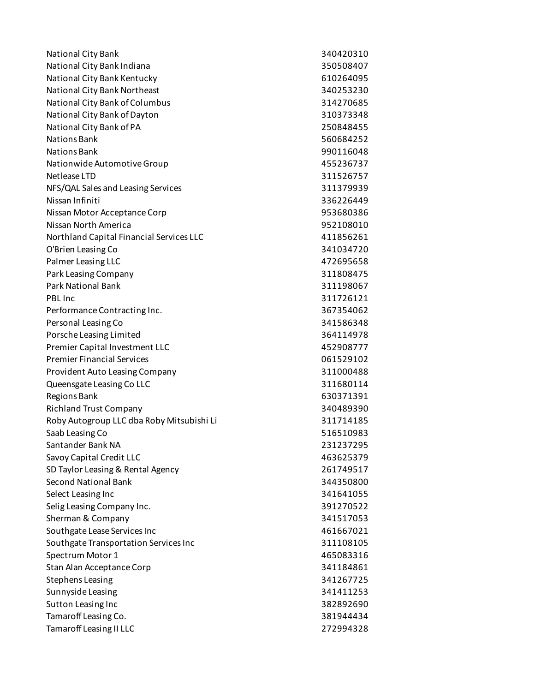| National City Bank                        | 340420310 |
|-------------------------------------------|-----------|
| National City Bank Indiana                | 350508407 |
| National City Bank Kentucky               | 610264095 |
| National City Bank Northeast              | 340253230 |
| National City Bank of Columbus            | 314270685 |
| National City Bank of Dayton              | 310373348 |
| National City Bank of PA                  | 250848455 |
| <b>Nations Bank</b>                       | 560684252 |
| <b>Nations Bank</b>                       | 990116048 |
| Nationwide Automotive Group               | 455236737 |
| Netlease LTD                              | 311526757 |
| NFS/QAL Sales and Leasing Services        | 311379939 |
| Nissan Infiniti                           | 336226449 |
| Nissan Motor Acceptance Corp              | 953680386 |
| Nissan North America                      | 952108010 |
| Northland Capital Financial Services LLC  | 411856261 |
| O'Brien Leasing Co                        | 341034720 |
| Palmer Leasing LLC                        | 472695658 |
| Park Leasing Company                      | 311808475 |
| <b>Park National Bank</b>                 | 311198067 |
| <b>PBL</b> Inc                            | 311726121 |
| Performance Contracting Inc.              | 367354062 |
| Personal Leasing Co                       | 341586348 |
| Porsche Leasing Limited                   | 364114978 |
| Premier Capital Investment LLC            | 452908777 |
| <b>Premier Financial Services</b>         | 061529102 |
| Provident Auto Leasing Company            | 311000488 |
| Queensgate Leasing Co LLC                 | 311680114 |
| <b>Regions Bank</b>                       | 630371391 |
| <b>Richland Trust Company</b>             | 340489390 |
| Roby Autogroup LLC dba Roby Mitsubishi Li | 311714185 |
| Saab Leasing Co                           | 516510983 |
| Santander Bank NA                         | 231237295 |
| Savoy Capital Credit LLC                  | 463625379 |
| SD Taylor Leasing & Rental Agency         | 261749517 |
| <b>Second National Bank</b>               | 344350800 |
| Select Leasing Inc                        | 341641055 |
| Selig Leasing Company Inc.                | 391270522 |
| Sherman & Company                         | 341517053 |
| Southgate Lease Services Inc              | 461667021 |
| Southgate Transportation Services Inc     | 311108105 |
| Spectrum Motor 1                          | 465083316 |
| Stan Alan Acceptance Corp                 | 341184861 |
| <b>Stephens Leasing</b>                   | 341267725 |
| Sunnyside Leasing                         | 341411253 |
| Sutton Leasing Inc                        | 382892690 |
| Tamaroff Leasing Co.                      | 381944434 |
| <b>Tamaroff Leasing II LLC</b>            | 272994328 |